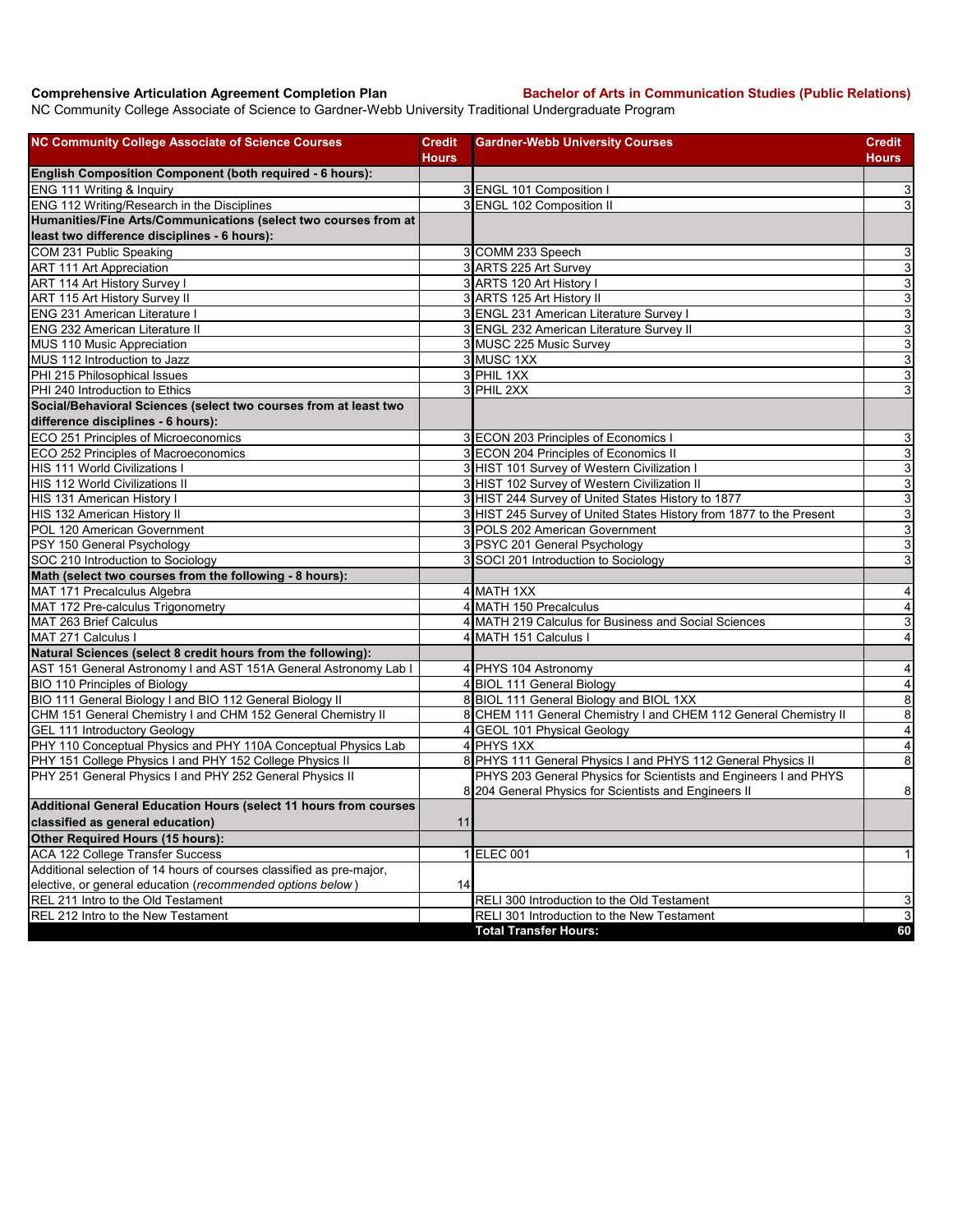**Comprehensive Articulation Agreement Completion Plan Bachelor of Arts in Communication Studies (Public Relations)**

NC Community College Associate of Science to Gardner-Webb University Traditional Undergraduate Program

| <b>NC Community College Associate of Science Courses</b>             | <b>Credit</b> | <b>Gardner-Webb University Courses</b>                              | Credit                    |
|----------------------------------------------------------------------|---------------|---------------------------------------------------------------------|---------------------------|
|                                                                      | <b>Hours</b>  |                                                                     | <b>Hours</b>              |
| English Composition Component (both required - 6 hours):             |               |                                                                     |                           |
| ENG 111 Writing & Inquiry                                            |               | 3 ENGL 101 Composition I                                            | 3                         |
| ENG 112 Writing/Research in the Disciplines                          |               | 3 ENGL 102 Composition II                                           | $\ensuremath{\mathsf{3}}$ |
| Humanities/Fine Arts/Communications (select two courses from at      |               |                                                                     |                           |
| least two difference disciplines - 6 hours):                         |               |                                                                     |                           |
| COM 231 Public Speaking                                              |               | 3 COMM 233 Speech                                                   | 3                         |
| <b>ART 111 Art Appreciation</b>                                      |               | 3 ARTS 225 Art Survey                                               | $\overline{3}$            |
| ART 114 Art History Survey I                                         |               | 3 ARTS 120 Art History I                                            | $\overline{3}$            |
| ART 115 Art History Survey II                                        |               | 3 ARTS 125 Art History II                                           | ω                         |
| ENG 231 American Literature I                                        |               | 3 ENGL 231 American Literature Survey I                             | $\mathsf 3$               |
| <b>ENG 232 American Literature II</b>                                |               | 3 ENGL 232 American Literature Survey II                            | $\overline{3}$            |
| MUS 110 Music Appreciation                                           |               | 3 MUSC 225 Music Survey                                             | $\mathsf 3$               |
| MUS 112 Introduction to Jazz                                         |               | 3 MUSC 1XX                                                          | $\mathsf 3$               |
| PHI 215 Philosophical Issues                                         |               | 3 PHIL 1XX                                                          | ω                         |
| PHI 240 Introduction to Ethics                                       |               | 3 PHIL 2XX                                                          | 3                         |
| Social/Behavioral Sciences (select two courses from at least two     |               |                                                                     |                           |
| difference disciplines - 6 hours):                                   |               |                                                                     |                           |
| ECO 251 Principles of Microeconomics                                 |               | 3 ECON 203 Principles of Economics I                                | 3                         |
| ECO 252 Principles of Macroeconomics                                 |               | 3 ECON 204 Principles of Economics II                               | $\ensuremath{\mathsf{3}}$ |
| <b>HIS 111 World Civilizations I</b>                                 |               | 3 HIST 101 Survey of Western Civilization I                         | $\mathsf 3$               |
| <b>HIS 112 World Civilizations II</b>                                |               | 3 HIST 102 Survey of Western Civilization II                        | $\mathbf{3}$              |
| HIS 131 American History I                                           |               | 3 HIST 244 Survey of United States History to 1877                  | ω                         |
| HIS 132 American History II                                          |               | 3 HIST 245 Survey of United States History from 1877 to the Present | $\mathsf 3$               |
| POL 120 American Government                                          |               | 3 POLS 202 American Government                                      | 3                         |
| PSY 150 General Psychology                                           |               | 3 PSYC 201 General Psychology                                       | 3                         |
| SOC 210 Introduction to Sociology                                    |               | 3 SOCI 201 Introduction to Sociology                                | 3                         |
| Math (select two courses from the following - 8 hours):              |               |                                                                     |                           |
| MAT 171 Precalculus Algebra                                          |               | 4 MATH 1XX                                                          | $\overline{4}$            |
| MAT 172 Pre-calculus Trigonometry                                    |               | 4 MATH 150 Precalculus                                              | $\overline{\mathbf{4}}$   |
| MAT 263 Brief Calculus                                               |               | 4 MATH 219 Calculus for Business and Social Sciences                | $\mathsf 3$               |
| MAT 271 Calculus I                                                   |               | 4 MATH 151 Calculus I                                               | $\overline{4}$            |
| Natural Sciences (select 8 credit hours from the following):         |               |                                                                     |                           |
| AST 151 General Astronomy I and AST 151A General Astronomy Lab I     |               | 4 PHYS 104 Astronomy                                                | $\overline{4}$            |
| BIO 110 Principles of Biology                                        |               | 4 BIOL 111 General Biology                                          | $\overline{4}$            |
| BIO 111 General Biology I and BIO 112 General Biology II             |               | 8 BIOL 111 General Biology and BIOL 1XX                             | $\overline{\mathbf{8}}$   |
| CHM 151 General Chemistry I and CHM 152 General Chemistry II         |               | 8 CHEM 111 General Chemistry I and CHEM 112 General Chemistry II    | $\bf 8$                   |
| GEL 111 Introductory Geology                                         |               | 4 GEOL 101 Physical Geology                                         | $\overline{4}$            |
| PHY 110 Conceptual Physics and PHY 110A Conceptual Physics Lab       |               | 4 PHYS 1XX                                                          | $\overline{4}$            |
| PHY 151 College Physics I and PHY 152 College Physics II             |               | 8 PHYS 111 General Physics I and PHYS 112 General Physics II        | $\infty$                  |
| PHY 251 General Physics I and PHY 252 General Physics II             |               | PHYS 203 General Physics for Scientists and Engineers I and PHYS    |                           |
|                                                                      |               | 8 204 General Physics for Scientists and Engineers II               | $\bf 8$                   |
| Additional General Education Hours (select 11 hours from courses     |               |                                                                     |                           |
| classified as general education)                                     | 11            |                                                                     |                           |
| Other Required Hours (15 hours):                                     |               |                                                                     |                           |
| <b>ACA 122 College Transfer Success</b>                              |               | 1 ELEC 001                                                          | $\vert$                   |
| Additional selection of 14 hours of courses classified as pre-major, |               |                                                                     |                           |
| elective, or general education (recommended options below)           | 14            |                                                                     |                           |
| REL 211 Intro to the Old Testament                                   |               | RELI 300 Introduction to the Old Testament                          | 3                         |
| REL 212 Intro to the New Testament                                   |               | RELI 301 Introduction to the New Testament                          | $\mathbf{3}$              |
|                                                                      |               | <b>Total Transfer Hours:</b>                                        | 60                        |